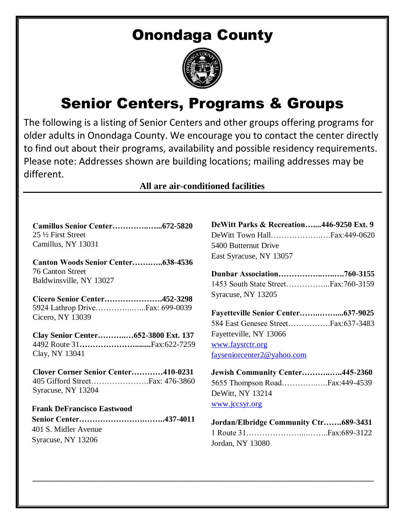## Onondaga County



## Senior Centers, Programs & Groups

The following is a listing of Senior Centers and other groups offering programs for older adults in Onondaga County. We encourage you to contact the center directly to find out about their programs, availability and possible residency requirements. Please note: Addresses shown are building locations; mailing addresses may be different.

## **All are air-conditioned facilities**

**\_\_\_\_\_\_\_\_\_\_\_\_\_\_\_\_\_\_\_\_\_\_\_\_\_\_\_\_\_\_\_\_\_\_\_\_\_\_\_\_\_\_\_\_\_\_\_\_\_\_\_\_\_\_\_\_\_\_\_\_\_\_\_\_\_\_\_\_\_\_\_\_\_\_\_\_\_\_\_\_\_\_\_\_\_\_**

| 25 ½ First Street  |  |
|--------------------|--|
| Camillus, NY 13031 |  |

**Canton Woods Senior Center…….…..638-4536**  76 Canton Street Baldwinsville, NY 13027

**Cicero Senior Center………………….452-3298** 5924 Lathrop Drive…………..…...Fax: 699-0039 Cicero, NY 13039

**Clay Senior Center………..…652-3800 Ext. 137** 4492 Route 31**…………………........**Fax:622-7259 Clay, NY 13041

**Clover Corner Senior Center…………410-0231**  405 Gifford Street………………….Fax: 476-3860 Syracuse, NY 13204

 **Frank DeFrancisco Eastwood Senior Center…………………….……..437-4011** 401 S. Midler Avenue Syracuse, NY 13206

| DeWitt Parks & Recreation446-9250 Ext. 9 |  |
|------------------------------------------|--|
|                                          |  |
| 5400 Butternut Drive                     |  |
| East Syracuse, NY 13057                  |  |

**Dunbar Association……………..…..….760-3155** 1453 South State Street……………..Fax:760-3159 Syracuse, NY 13205

**Fayetteville Senior Center……..……....637-9025** 584 East Genesee Street…………….Fax:637-3483 Fayetteville, NY 13066 [www.faysrctr.org](http://www.faysrctr.org/) [fayseniorcenter2@yahoo.com](mailto:fayseniorcenter2@yahoo.com)

| Jewish Community Center445-2360 |  |
|---------------------------------|--|
|                                 |  |
| DeWitt, NY 13214                |  |
| www.jccsyr.org                  |  |

| Jordan/Elbridge Community Ctr689-3431 |  |
|---------------------------------------|--|
|                                       |  |
| Jordan, NY 13080                      |  |